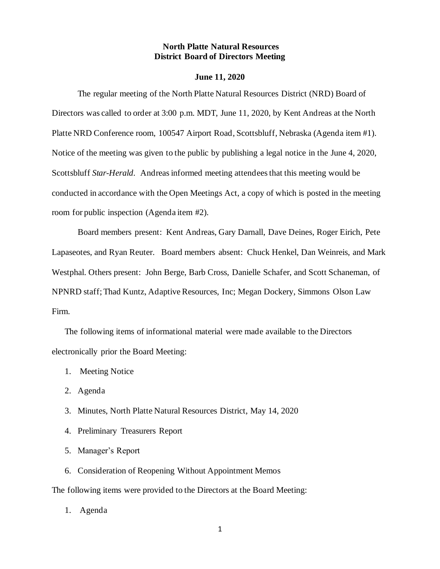### **North Platte Natural Resources District Board of Directors Meeting**

#### **June 11, 2020**

The regular meeting of the North Platte Natural Resources District (NRD) Board of Directors was called to order at 3:00 p.m. MDT, June 11, 2020, by Kent Andreas at the North Platte NRD Conference room, 100547 Airport Road, Scottsbluff, Nebraska (Agenda item #1). Notice of the meeting was given to the public by publishing a legal notice in the June 4, 2020, Scottsbluff *Star-Herald*. Andreas informed meeting attendees that this meeting would be conducted in accordance with the Open Meetings Act, a copy of which is posted in the meeting room for public inspection (Agenda item #2).

Board members present: Kent Andreas, Gary Darnall, Dave Deines, Roger Eirich, Pete Lapaseotes, and Ryan Reuter. Board members absent: Chuck Henkel, Dan Weinreis, and Mark Westphal. Others present: John Berge, Barb Cross, Danielle Schafer, and Scott Schaneman, of NPNRD staff; Thad Kuntz, Adaptive Resources, Inc; Megan Dockery, Simmons Olson Law Firm.

The following items of informational material were made available to the Directors electronically prior the Board Meeting:

- 1. Meeting Notice
- 2. Agenda
- 3. Minutes, North Platte Natural Resources District, May 14, 2020
- 4. Preliminary Treasurers Report
- 5. Manager's Report
- 6. Consideration of Reopening Without Appointment Memos

The following items were provided to the Directors at the Board Meeting:

1. Agenda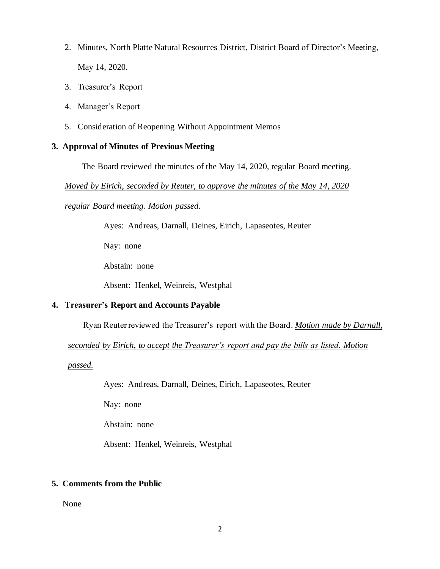- 2. Minutes, North Platte Natural Resources District, District Board of Director's Meeting, May 14, 2020.
- 3. Treasurer's Report
- 4. Manager's Report
- 5. Consideration of Reopening Without Appointment Memos

#### **3. Approval of Minutes of Previous Meeting**

The Board reviewed the minutes of the May 14, 2020, regular Board meeting.

*Moved by Eirich, seconded by Reuter, to approve the minutes of the May 14, 2020* 

*regular Board meeting. Motion passed.*

Ayes: Andreas, Darnall, Deines, Eirich, Lapaseotes, Reuter

Nay: none

Abstain: none

Absent: Henkel, Weinreis, Westphal

## **4. Treasurer's Report and Accounts Payable**

Ryan Reuter reviewed the Treasurer's report with the Board. *Motion made by Darnall,* 

*seconded by Eirich, to accept the Treasurer's report and pay the bills as listed. Motion* 

*passed.*

Ayes: Andreas, Darnall, Deines, Eirich, Lapaseotes, Reuter

Nay: none

Abstain: none

Absent: Henkel, Weinreis, Westphal

#### **5. Comments from the Public**

None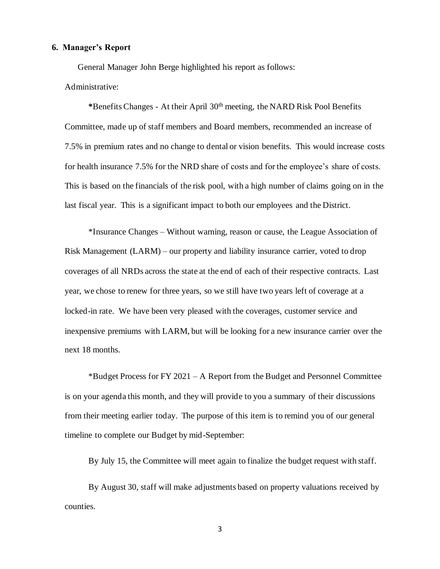## **6. Manager's Report**

General Manager John Berge highlighted his report as follows:

## Administrative:

 **\***Benefits Changes - At their April 30th meeting, the NARD Risk Pool Benefits Committee, made up of staff members and Board members, recommended an increase of 7.5% in premium rates and no change to dental or vision benefits. This would increase costs for health insurance 7.5% for the NRD share of costs and for the employee's share of costs. This is based on the financials of the risk pool, with a high number of claims going on in the last fiscal year. This is a significant impact to both our employees and the District.

 \*Insurance Changes – Without warning, reason or cause, the League Association of Risk Management (LARM) – our property and liability insurance carrier, voted to drop coverages of all NRDs across the state at the end of each of their respective contracts. Last year, we chose to renew for three years, so we still have two years left of coverage at a locked-in rate. We have been very pleased with the coverages, customer service and inexpensive premiums with LARM, but will be looking for a new insurance carrier over the next 18 months.

 \*Budget Process for FY 2021 – A Report from the Budget and Personnel Committee is on your agenda this month, and they will provide to you a summary of their discussions from their meeting earlier today. The purpose of this item is to remind you of our general timeline to complete our Budget by mid-September:

By July 15, the Committee will meet again to finalize the budget request with staff.

 By August 30, staff will make adjustments based on property valuations received by counties.

3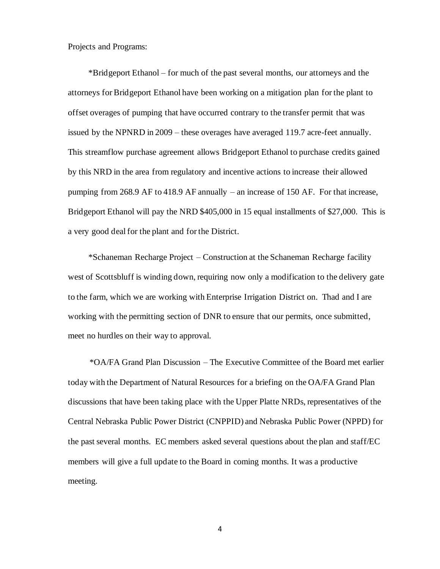Projects and Programs:

 \*Bridgeport Ethanol – for much of the past several months, our attorneys and the attorneys for Bridgeport Ethanol have been working on a mitigation plan for the plant to offset overages of pumping that have occurred contrary to the transfer permit that was issued by the NPNRD in 2009 – these overages have averaged 119.7 acre-feet annually. This streamflow purchase agreement allows Bridgeport Ethanol to purchase credits gained by this NRD in the area from regulatory and incentive actions to increase their allowed pumping from 268.9 AF to 418.9 AF annually – an increase of 150 AF. For that increase, Bridgeport Ethanol will pay the NRD \$405,000 in 15 equal installments of \$27,000. This is a very good deal for the plant and for the District.

 \*Schaneman Recharge Project – Construction at the Schaneman Recharge facility west of Scottsbluff is winding down, requiring now only a modification to the delivery gate to the farm, which we are working with Enterprise Irrigation District on. Thad and I are working with the permitting section of DNR to ensure that our permits, once submitted, meet no hurdles on their way to approval.

 \*OA/FA Grand Plan Discussion – The Executive Committee of the Board met earlier today with the Department of Natural Resources for a briefing on the OA/FA Grand Plan discussions that have been taking place with the Upper Platte NRDs, representatives of the Central Nebraska Public Power District (CNPPID) and Nebraska Public Power (NPPD) for the past several months. EC members asked several questions about the plan and staff/EC members will give a full update to the Board in coming months. It was a productive meeting.

4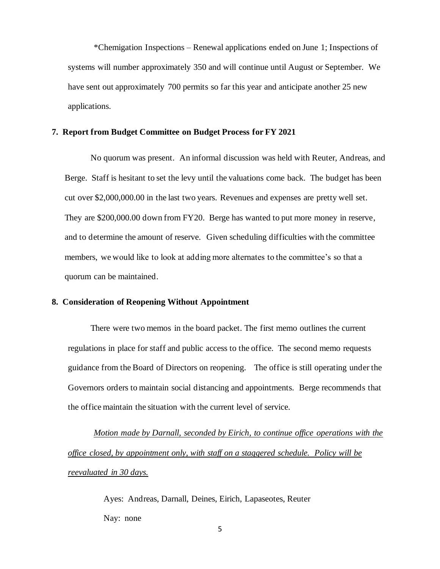\*Chemigation Inspections – Renewal applications ended on June 1; Inspections of systems will number approximately 350 and will continue until August or September. We have sent out approximately 700 permits so far this year and anticipate another 25 new applications.

#### **7. Report from Budget Committee on Budget Process for FY 2021**

No quorum was present. An informal discussion was held with Reuter, Andreas, and Berge. Staff is hesitant to set the levy until the valuations come back. The budget has been cut over \$2,000,000.00 in the last two years. Revenues and expenses are pretty well set. They are \$200,000.00 down from FY20. Berge has wanted to put more money in reserve, and to determine the amount of reserve. Given scheduling difficulties with the committee members, we would like to look at adding more alternates to the committee's so that a quorum can be maintained.

#### **8. Consideration of Reopening Without Appointment**

There were two memos in the board packet. The first memo outlines the current regulations in place for staff and public access to the office. The second memo requests guidance from the Board of Directors on reopening. The office is still operating under the Governors orders to maintain social distancing and appointments. Berge recommends that the office maintain the situation with the current level of service.

 *Motion made by Darnall, seconded by Eirich, to continue office operations with the office closed, by appointment only, with staff on a staggered schedule. Policy will be reevaluated in 30 days.*

> Ayes: Andreas, Darnall, Deines, Eirich, Lapaseotes, Reuter Nay: none